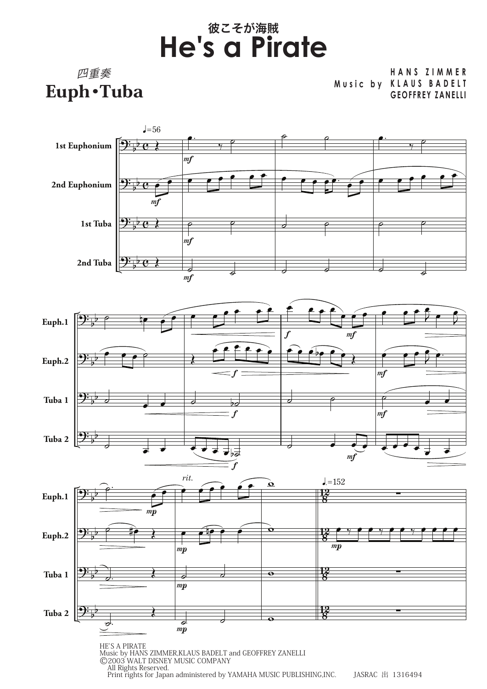## **He's a Pirate** 彼こそが海賊

四重奏 Euph・Tuba

**HANS ZIMMER KLAUS BADELT GEOFFREY ZANELLI Music by**







©2003 WALT DISNEY MUSIC COMPANY All Rights Reserved.

Print rights for Japan administered by YAMAHA MUSIC PUBLISHING,INC. JASRAC 出 1316494